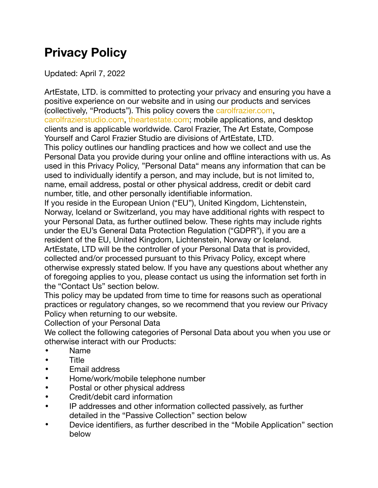# **Privacy Policy**

Updated: April 7, 2022

ArtEstate, LTD. is committed to protecting your privacy and ensuring you have a positive experience on our website and in using our products and services (collectively, "Products"). This policy covers the [carolfrazier.com,](http://carolfrazier.com) [carolfrazierstudio.com](http://carolfrazierstudio.com), [theartestate.com;](http://theartestate.com) mobile applications, and desktop clients and is applicable worldwide. Carol Frazier, The Art Estate, Compose Yourself and Carol Frazier Studio are divisions of ArtEstate, LTD. This policy outlines our handling practices and how we collect and use the

Personal Data you provide during your online and offline interactions with us. As used in this Privacy Policy, "Personal Data" means any information that can be used to individually identify a person, and may include, but is not limited to, name, email address, postal or other physical address, credit or debit card number, title, and other personally identifiable information.

If you reside in the European Union ("EU"), United Kingdom, Lichtenstein, Norway, Iceland or Switzerland, you may have additional rights with respect to your Personal Data, as further outlined below. These rights may include rights under the EU's General Data Protection Regulation ("GDPR"), if you are a resident of the EU, United Kingdom, Lichtenstein, Norway or Iceland. ArtEstate, LTD will be the controller of your Personal Data that is provided, collected and/or processed pursuant to this Privacy Policy, except where otherwise expressly stated below. If you have any questions about whether any

of foregoing applies to you, please contact us using the information set forth in the "Contact Us" section below.

This policy may be updated from time to time for reasons such as operational practices or regulatory changes, so we recommend that you review our Privacy Policy when returning to our website.

Collection of your Personal Data

We collect the following categories of Personal Data about you when you use or otherwise interact with our Products:

- Name
- Title
- Email address
- Home/work/mobile telephone number
- Postal or other physical address
- Credit/debit card information
- IP addresses and other information collected passively, as further detailed in the "Passive Collection" section below
- Device identifiers, as further described in the "Mobile Application" section below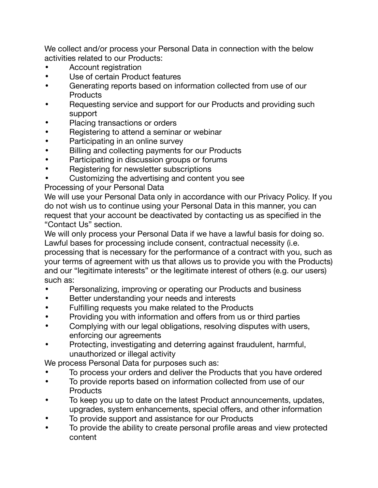We collect and/or process your Personal Data in connection with the below activities related to our Products:

- Account registration
- Use of certain Product features
- Generating reports based on information collected from use of our **Products**
- Requesting service and support for our Products and providing such support
- Placing transactions or orders
- Registering to attend a seminar or webinar
- Participating in an online survey
- Billing and collecting payments for our Products
- Participating in discussion groups or forums
- Registering for newsletter subscriptions
- Customizing the advertising and content you see

Processing of your Personal Data

We will use your Personal Data only in accordance with our Privacy Policy. If you do not wish us to continue using your Personal Data in this manner, you can request that your account be deactivated by contacting us as specified in the "Contact Us" section.

We will only process your Personal Data if we have a lawful basis for doing so. Lawful bases for processing include consent, contractual necessity (i.e. processing that is necessary for the performance of a contract with you, such as your terms of agreement with us that allows us to provide you with the Products) and our "legitimate interests" or the legitimate interest of others (e.g. our users) such as:

- Personalizing, improving or operating our Products and business
- Better understanding your needs and interests
- Fulfilling requests you make related to the Products
- Providing you with information and offers from us or third parties
- Complying with our legal obligations, resolving disputes with users, enforcing our agreements
- Protecting, investigating and deterring against fraudulent, harmful, unauthorized or illegal activity

We process Personal Data for purposes such as:

- To process your orders and deliver the Products that you have ordered
- To provide reports based on information collected from use of our **Products**
- To keep you up to date on the latest Product announcements, updates, upgrades, system enhancements, special offers, and other information
- To provide support and assistance for our Products
- To provide the ability to create personal profile areas and view protected content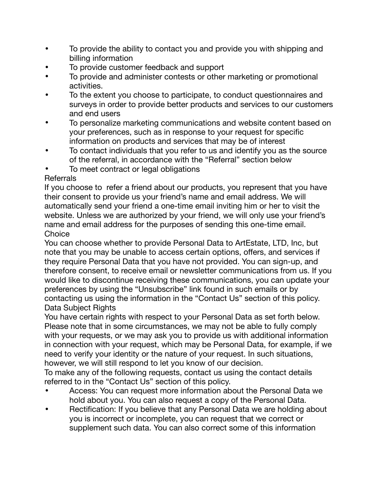- To provide the ability to contact you and provide you with shipping and billing information
- To provide customer feedback and support
- To provide and administer contests or other marketing or promotional activities.
- To the extent you choose to participate, to conduct questionnaires and surveys in order to provide better products and services to our customers and end users
- To personalize marketing communications and website content based on your preferences, such as in response to your request for specific information on products and services that may be of interest
- To contact individuals that you refer to us and identify you as the source of the referral, in accordance with the "Referral" section below
- To meet contract or legal obligations

# **Referrals**

If you choose to refer a friend about our products, you represent that you have their consent to provide us your friend's name and email address. We will automatically send your friend a one-time email inviting him or her to visit the website. Unless we are authorized by your friend, we will only use your friend's name and email address for the purposes of sending this one-time email. **Choice** 

You can choose whether to provide Personal Data to ArtEstate, LTD, Inc, but note that you may be unable to access certain options, offers, and services if they require Personal Data that you have not provided. You can sign-up, and therefore consent, to receive email or newsletter communications from us. If you would like to discontinue receiving these communications, you can update your preferences by using the "Unsubscribe" link found in such emails or by contacting us using the information in the "Contact Us" section of this policy. Data Subject Rights

You have certain rights with respect to your Personal Data as set forth below. Please note that in some circumstances, we may not be able to fully comply with your requests, or we may ask you to provide us with additional information in connection with your request, which may be Personal Data, for example, if we need to verify your identity or the nature of your request. In such situations, however, we will still respond to let you know of our decision.

To make any of the following requests, contact us using the contact details referred to in the "Contact Us" section of this policy.

- Access: You can request more information about the Personal Data we hold about you. You can also request a copy of the Personal Data.
- Rectification: If you believe that any Personal Data we are holding about you is incorrect or incomplete, you can request that we correct or supplement such data. You can also correct some of this information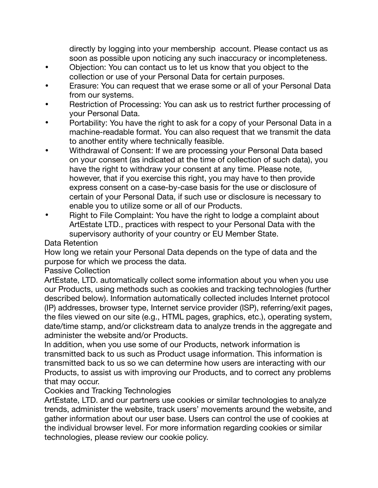directly by logging into your membership account. Please contact us as soon as possible upon noticing any such inaccuracy or incompleteness.

- Objection: You can contact us to let us know that you object to the collection or use of your Personal Data for certain purposes.
- Erasure: You can request that we erase some or all of your Personal Data from our systems.
- Restriction of Processing: You can ask us to restrict further processing of your Personal Data.
- Portability: You have the right to ask for a copy of your Personal Data in a machine-readable format. You can also request that we transmit the data to another entity where technically feasible.
- Withdrawal of Consent: If we are processing your Personal Data based on your consent (as indicated at the time of collection of such data), you have the right to withdraw your consent at any time. Please note, however, that if you exercise this right, you may have to then provide express consent on a case-by-case basis for the use or disclosure of certain of your Personal Data, if such use or disclosure is necessary to enable you to utilize some or all of our Products.
- Right to File Complaint: You have the right to lodge a complaint about ArtEstate LTD., practices with respect to your Personal Data with the supervisory authority of your country or EU Member State.

#### Data Retention

How long we retain your Personal Data depends on the type of data and the purpose for which we process the data.

## Passive Collection

ArtEstate, LTD. automatically collect some information about you when you use our Products, using methods such as cookies and tracking technologies (further described below). Information automatically collected includes Internet protocol (IP) addresses, browser type, Internet service provider (ISP), referring/exit pages, the files viewed on our site (e.g., HTML pages, graphics, etc.), operating system, date/time stamp, and/or clickstream data to analyze trends in the aggregate and administer the website and/or Products.

In addition, when you use some of our Products, network information is transmitted back to us such as Product usage information. This information is transmitted back to us so we can determine how users are interacting with our Products, to assist us with improving our Products, and to correct any problems that may occur.

## Cookies and Tracking Technologies

ArtEstate, LTD. and our partners use cookies or similar technologies to analyze trends, administer the website, track users' movements around the website, and gather information about our user base. Users can control the use of cookies at the individual browser level. For more information regarding cookies or similar technologies, please review our cookie policy.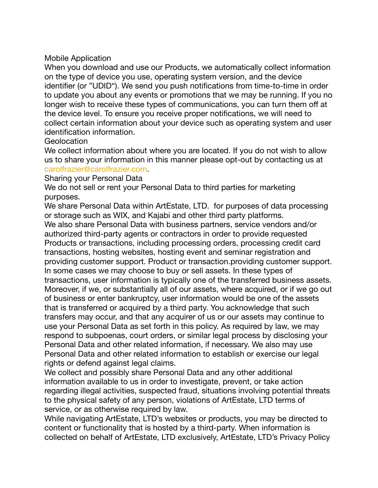## Mobile Application

When you download and use our Products, we automatically collect information on the type of device you use, operating system version, and the device identifier (or "UDID"). We send you push notifications from time-to-time in order to update you about any events or promotions that we may be running. If you no longer wish to receive these types of communications, you can turn them off at the device level. To ensure you receive proper notifications, we will need to collect certain information about your device such as operating system and user identification information.

## **Geolocation**

We collect information about where you are located. If you do not wish to allow us to share your information in this manner please opt-out by contacting us at [carolfrazier@carolfrazier.com](mailto:carolfrazier@carolfrazier.com).

## Sharing your Personal Data

We do not sell or rent your Personal Data to third parties for marketing purposes.

We share Personal Data within ArtEstate, LTD. for purposes of data processing or storage such as WIX, and Kajabi and other third party platforms.

We also share Personal Data with business partners, service vendors and/or authorized third-party agents or contractors in order to provide requested Products or transactions, including processing orders, processing credit card transactions, hosting websites, hosting event and seminar registration and providing customer support. Product or transaction.providing customer support. In some cases we may choose to buy or sell assets. In these types of transactions, user information is typically one of the transferred business assets. Moreover, if we, or substantially all of our assets, where acquired, or if we go out of business or enter bankruptcy, user information would be one of the assets that is transferred or acquired by a third party. You acknowledge that such transfers may occur, and that any acquirer of us or our assets may continue to use your Personal Data as set forth in this policy. As required by law, we may respond to subpoenas, court orders, or similar legal process by disclosing your Personal Data and other related information, if necessary. We also may use Personal Data and other related information to establish or exercise our legal rights or defend against legal claims.

We collect and possibly share Personal Data and any other additional information available to us in order to investigate, prevent, or take action regarding illegal activities, suspected fraud, situations involving potential threats to the physical safety of any person, violations of ArtEstate, LTD terms of service, or as otherwise required by law.

While navigating ArtEstate, LTD's websites or products, you may be directed to content or functionality that is hosted by a third-party. When information is collected on behalf of ArtEstate, LTD exclusively, ArtEstate, LTD's Privacy Policy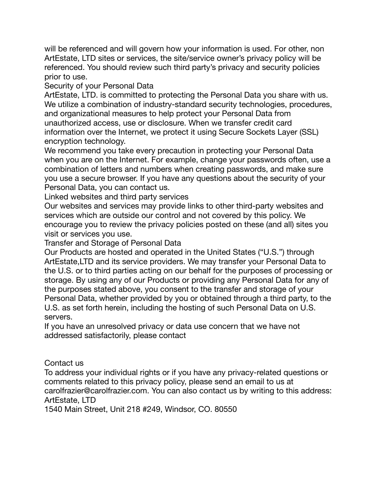will be referenced and will govern how your information is used. For other, non ArtEstate, LTD sites or services, the site/service owner's privacy policy will be referenced. You should review such third party's privacy and security policies prior to use.

# Security of your Personal Data

ArtEstate, LTD. is committed to protecting the Personal Data you share with us. We utilize a combination of industry-standard security technologies, procedures, and organizational measures to help protect your Personal Data from unauthorized access, use or disclosure. When we transfer credit card information over the Internet, we protect it using Secure Sockets Layer (SSL) encryption technology.

We recommend you take every precaution in protecting your Personal Data when you are on the Internet. For example, change your passwords often, use a combination of letters and numbers when creating passwords, and make sure you use a secure browser. If you have any questions about the security of your Personal Data, you can contact us.

Linked websites and third party services

Our websites and services may provide links to other third-party websites and services which are outside our control and not covered by this policy. We encourage you to review the privacy policies posted on these (and all) sites you visit or services you use.

Transfer and Storage of Personal Data

Our Products are hosted and operated in the United States ("U.S.") through ArtEstate,LTD and its service providers. We may transfer your Personal Data to the U.S. or to third parties acting on our behalf for the purposes of processing or storage. By using any of our Products or providing any Personal Data for any of the purposes stated above, you consent to the transfer and storage of your Personal Data, whether provided by you or obtained through a third party, to the U.S. as set forth herein, including the hosting of such Personal Data on U.S. servers.

If you have an unresolved privacy or data use concern that we have not addressed satisfactorily, please contact

Contact us

To address your individual rights or if you have any privacy-related questions or comments related to this privacy policy, please send an email to us at carolfrazier@carolfrazier.com. You can also contact us by writing to this address: ArtEstate, LTD

1540 Main Street, Unit 218 #249, Windsor, CO. 80550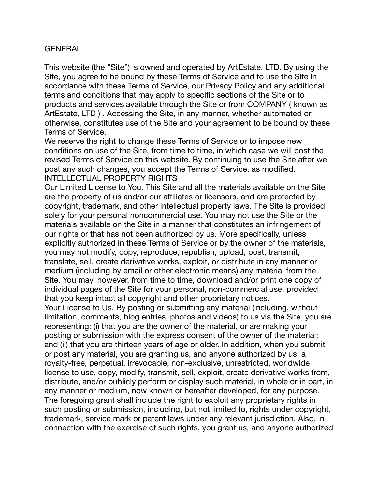#### **GENERAL**

This website (the "Site") is owned and operated by ArtEstate, LTD. By using the Site, you agree to be bound by these Terms of Service and to use the Site in accordance with these Terms of Service, our Privacy Policy and any additional terms and conditions that may apply to specific sections of the Site or to products and services available through the Site or from COMPANY ( known as ArtEstate, LTD ) . Accessing the Site, in any manner, whether automated or otherwise, constitutes use of the Site and your agreement to be bound by these Terms of Service.

We reserve the right to change these Terms of Service or to impose new conditions on use of the Site, from time to time, in which case we will post the revised Terms of Service on this website. By continuing to use the Site after we post any such changes, you accept the Terms of Service, as modified. INTELLECTUAL PROPERTY RIGHTS

Our Limited License to You. This Site and all the materials available on the Site are the property of us and/or our affiliates or licensors, and are protected by copyright, trademark, and other intellectual property laws. The Site is provided solely for your personal noncommercial use. You may not use the Site or the materials available on the Site in a manner that constitutes an infringement of our rights or that has not been authorized by us. More specifically, unless explicitly authorized in these Terms of Service or by the owner of the materials, you may not modify, copy, reproduce, republish, upload, post, transmit, translate, sell, create derivative works, exploit, or distribute in any manner or medium (including by email or other electronic means) any material from the Site. You may, however, from time to time, download and/or print one copy of individual pages of the Site for your personal, non-commercial use, provided that you keep intact all copyright and other proprietary notices.

Your License to Us. By posting or submitting any material (including, without limitation, comments, blog entries, photos and videos) to us via the Site, you are representing: (i) that you are the owner of the material, or are making your posting or submission with the express consent of the owner of the material; and (ii) that you are thirteen years of age or older. In addition, when you submit or post any material, you are granting us, and anyone authorized by us, a royalty-free, perpetual, irrevocable, non-exclusive, unrestricted, worldwide license to use, copy, modify, transmit, sell, exploit, create derivative works from, distribute, and/or publicly perform or display such material, in whole or in part, in any manner or medium, now known or hereafter developed, for any purpose. The foregoing grant shall include the right to exploit any proprietary rights in such posting or submission, including, but not limited to, rights under copyright, trademark, service mark or patent laws under any relevant jurisdiction. Also, in connection with the exercise of such rights, you grant us, and anyone authorized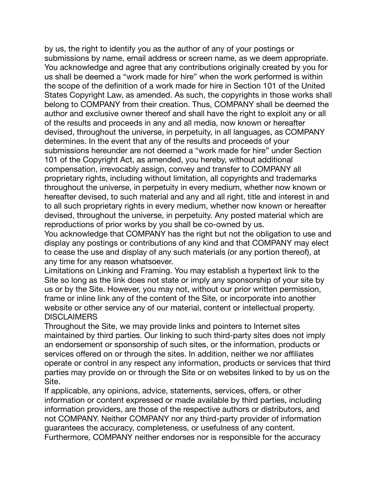by us, the right to identify you as the author of any of your postings or submissions by name, email address or screen name, as we deem appropriate. You acknowledge and agree that any contributions originally created by you for us shall be deemed a "work made for hire" when the work performed is within the scope of the definition of a work made for hire in Section 101 of the United States Copyright Law, as amended. As such, the copyrights in those works shall belong to COMPANY from their creation. Thus, COMPANY shall be deemed the author and exclusive owner thereof and shall have the right to exploit any or all of the results and proceeds in any and all media, now known or hereafter devised, throughout the universe, in perpetuity, in all languages, as COMPANY determines. In the event that any of the results and proceeds of your submissions hereunder are not deemed a "work made for hire" under Section 101 of the Copyright Act, as amended, you hereby, without additional compensation, irrevocably assign, convey and transfer to COMPANY all proprietary rights, including without limitation, all copyrights and trademarks throughout the universe, in perpetuity in every medium, whether now known or hereafter devised, to such material and any and all right, title and interest in and to all such proprietary rights in every medium, whether now known or hereafter devised, throughout the universe, in perpetuity. Any posted material which are reproductions of prior works by you shall be co-owned by us.

You acknowledge that COMPANY has the right but not the obligation to use and display any postings or contributions of any kind and that COMPANY may elect to cease the use and display of any such materials (or any portion thereof), at any time for any reason whatsoever.

Limitations on Linking and Framing. You may establish a hypertext link to the Site so long as the link does not state or imply any sponsorship of your site by us or by the Site. However, you may not, without our prior written permission, frame or inline link any of the content of the Site, or incorporate into another website or other service any of our material, content or intellectual property. **DISCLAIMERS** 

Throughout the Site, we may provide links and pointers to Internet sites maintained by third parties. Our linking to such third-party sites does not imply an endorsement or sponsorship of such sites, or the information, products or services offered on or through the sites. In addition, neither we nor affiliates operate or control in any respect any information, products or services that third parties may provide on or through the Site or on websites linked to by us on the Site.

If applicable, any opinions, advice, statements, services, offers, or other information or content expressed or made available by third parties, including information providers, are those of the respective authors or distributors, and not COMPANY. Neither COMPANY nor any third-party provider of information guarantees the accuracy, completeness, or usefulness of any content. Furthermore, COMPANY neither endorses nor is responsible for the accuracy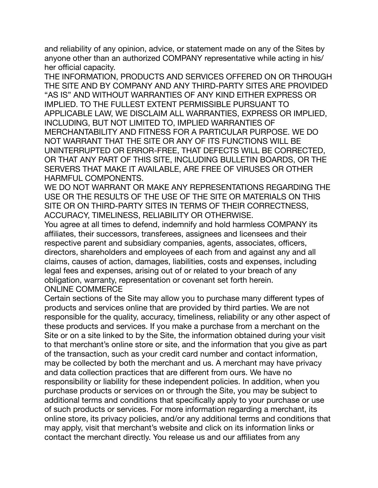and reliability of any opinion, advice, or statement made on any of the Sites by anyone other than an authorized COMPANY representative while acting in his/ her official capacity.

THE INFORMATION, PRODUCTS AND SERVICES OFFERED ON OR THROUGH THE SITE AND BY COMPANY AND ANY THIRD-PARTY SITES ARE PROVIDED "AS IS" AND WITHOUT WARRANTIES OF ANY KIND EITHER EXPRESS OR IMPLIED. TO THE FULLEST EXTENT PERMISSIBLE PURSUANT TO APPLICABLE LAW, WE DISCLAIM ALL WARRANTIES, EXPRESS OR IMPLIED, INCLUDING, BUT NOT LIMITED TO, IMPLIED WARRANTIES OF MERCHANTABILITY AND FITNESS FOR A PARTICULAR PURPOSE. WE DO NOT WARRANT THAT THE SITE OR ANY OF ITS FUNCTIONS WILL BE UNINTERRUPTED OR ERROR-FREE, THAT DEFECTS WILL BE CORRECTED, OR THAT ANY PART OF THIS SITE, INCLUDING BULLETIN BOARDS, OR THE SERVERS THAT MAKE IT AVAILABLE, ARE FREE OF VIRUSES OR OTHER HARMFUL COMPONENTS.

WE DO NOT WARRANT OR MAKE ANY REPRESENTATIONS REGARDING THE USE OR THE RESULTS OF THE USE OF THE SITE OR MATERIALS ON THIS SITE OR ON THIRD-PARTY SITES IN TERMS OF THEIR CORRECTNESS, ACCURACY, TIMELINESS, RELIABILITY OR OTHERWISE.

You agree at all times to defend, indemnify and hold harmless COMPANY its affiliates, their successors, transferees, assignees and licensees and their respective parent and subsidiary companies, agents, associates, officers, directors, shareholders and employees of each from and against any and all claims, causes of action, damages, liabilities, costs and expenses, including legal fees and expenses, arising out of or related to your breach of any obligation, warranty, representation or covenant set forth herein. ONLINE COMMERCE

Certain sections of the Site may allow you to purchase many different types of products and services online that are provided by third parties. We are not responsible for the quality, accuracy, timeliness, reliability or any other aspect of these products and services. If you make a purchase from a merchant on the Site or on a site linked to by the Site, the information obtained during your visit to that merchant's online store or site, and the information that you give as part of the transaction, such as your credit card number and contact information, may be collected by both the merchant and us. A merchant may have privacy and data collection practices that are different from ours. We have no responsibility or liability for these independent policies. In addition, when you purchase products or services on or through the Site, you may be subject to additional terms and conditions that specifically apply to your purchase or use of such products or services. For more information regarding a merchant, its online store, its privacy policies, and/or any additional terms and conditions that may apply, visit that merchant's website and click on its information links or contact the merchant directly. You release us and our affiliates from any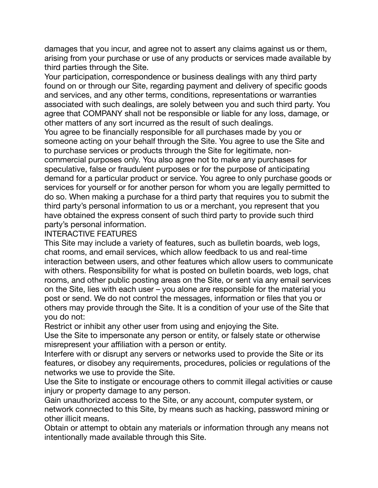damages that you incur, and agree not to assert any claims against us or them, arising from your purchase or use of any products or services made available by third parties through the Site.

Your participation, correspondence or business dealings with any third party found on or through our Site, regarding payment and delivery of specific goods and services, and any other terms, conditions, representations or warranties associated with such dealings, are solely between you and such third party. You agree that COMPANY shall not be responsible or liable for any loss, damage, or other matters of any sort incurred as the result of such dealings.

You agree to be financially responsible for all purchases made by you or someone acting on your behalf through the Site. You agree to use the Site and to purchase services or products through the Site for legitimate, noncommercial purposes only. You also agree not to make any purchases for speculative, false or fraudulent purposes or for the purpose of anticipating demand for a particular product or service. You agree to only purchase goods or services for yourself or for another person for whom you are legally permitted to do so. When making a purchase for a third party that requires you to submit the third party's personal information to us or a merchant, you represent that you have obtained the express consent of such third party to provide such third party's personal information.

## INTERACTIVE FEATURES

This Site may include a variety of features, such as bulletin boards, web logs, chat rooms, and email services, which allow feedback to us and real-time interaction between users, and other features which allow users to communicate with others. Responsibility for what is posted on bulletin boards, web logs, chat rooms, and other public posting areas on the Site, or sent via any email services on the Site, lies with each user – you alone are responsible for the material you post or send. We do not control the messages, information or files that you or others may provide through the Site. It is a condition of your use of the Site that you do not:

Restrict or inhibit any other user from using and enjoying the Site.

Use the Site to impersonate any person or entity, or falsely state or otherwise misrepresent your affiliation with a person or entity.

Interfere with or disrupt any servers or networks used to provide the Site or its features, or disobey any requirements, procedures, policies or regulations of the networks we use to provide the Site.

Use the Site to instigate or encourage others to commit illegal activities or cause injury or property damage to any person.

Gain unauthorized access to the Site, or any account, computer system, or network connected to this Site, by means such as hacking, password mining or other illicit means.

Obtain or attempt to obtain any materials or information through any means not intentionally made available through this Site.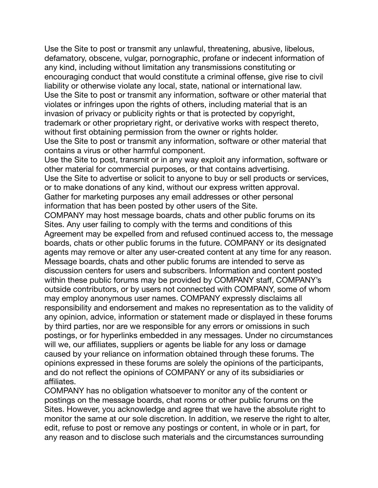Use the Site to post or transmit any unlawful, threatening, abusive, libelous, defamatory, obscene, vulgar, pornographic, profane or indecent information of any kind, including without limitation any transmissions constituting or encouraging conduct that would constitute a criminal offense, give rise to civil liability or otherwise violate any local, state, national or international law. Use the Site to post or transmit any information, software or other material that violates or infringes upon the rights of others, including material that is an invasion of privacy or publicity rights or that is protected by copyright, trademark or other proprietary right, or derivative works with respect thereto, without first obtaining permission from the owner or rights holder.

Use the Site to post or transmit any information, software or other material that contains a virus or other harmful component.

Use the Site to post, transmit or in any way exploit any information, software or other material for commercial purposes, or that contains advertising.

Use the Site to advertise or solicit to anyone to buy or sell products or services, or to make donations of any kind, without our express written approval.

Gather for marketing purposes any email addresses or other personal information that has been posted by other users of the Site.

COMPANY may host message boards, chats and other public forums on its Sites. Any user failing to comply with the terms and conditions of this Agreement may be expelled from and refused continued access to, the message boards, chats or other public forums in the future. COMPANY or its designated agents may remove or alter any user-created content at any time for any reason. Message boards, chats and other public forums are intended to serve as discussion centers for users and subscribers. Information and content posted within these public forums may be provided by COMPANY staff, COMPANY's outside contributors, or by users not connected with COMPANY, some of whom may employ anonymous user names. COMPANY expressly disclaims all responsibility and endorsement and makes no representation as to the validity of any opinion, advice, information or statement made or displayed in these forums by third parties, nor are we responsible for any errors or omissions in such postings, or for hyperlinks embedded in any messages. Under no circumstances will we, our affiliates, suppliers or agents be liable for any loss or damage caused by your reliance on information obtained through these forums. The opinions expressed in these forums are solely the opinions of the participants, and do not reflect the opinions of COMPANY or any of its subsidiaries or affiliates.

COMPANY has no obligation whatsoever to monitor any of the content or postings on the message boards, chat rooms or other public forums on the Sites. However, you acknowledge and agree that we have the absolute right to monitor the same at our sole discretion. In addition, we reserve the right to alter, edit, refuse to post or remove any postings or content, in whole or in part, for any reason and to disclose such materials and the circumstances surrounding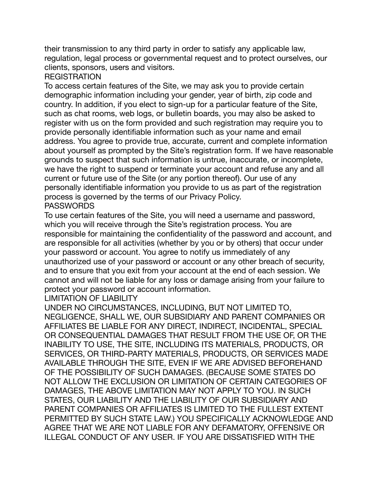their transmission to any third party in order to satisfy any applicable law, regulation, legal process or governmental request and to protect ourselves, our clients, sponsors, users and visitors.

## **REGISTRATION**

To access certain features of the Site, we may ask you to provide certain demographic information including your gender, year of birth, zip code and country. In addition, if you elect to sign-up for a particular feature of the Site, such as chat rooms, web logs, or bulletin boards, you may also be asked to register with us on the form provided and such registration may require you to provide personally identifiable information such as your name and email address. You agree to provide true, accurate, current and complete information about yourself as prompted by the Site's registration form. If we have reasonable grounds to suspect that such information is untrue, inaccurate, or incomplete, we have the right to suspend or terminate your account and refuse any and all current or future use of the Site (or any portion thereof). Our use of any personally identifiable information you provide to us as part of the registration process is governed by the terms of our Privacy Policy. PASSWORDS

To use certain features of the Site, you will need a username and password, which you will receive through the Site's registration process. You are responsible for maintaining the confidentiality of the password and account, and are responsible for all activities (whether by you or by others) that occur under your password or account. You agree to notify us immediately of any unauthorized use of your password or account or any other breach of security, and to ensure that you exit from your account at the end of each session. We cannot and will not be liable for any loss or damage arising from your failure to protect your password or account information.

#### LIMITATION OF LIABILITY

UNDER NO CIRCUMSTANCES, INCLUDING, BUT NOT LIMITED TO, NEGLIGENCE, SHALL WE, OUR SUBSIDIARY AND PARENT COMPANIES OR AFFILIATES BE LIABLE FOR ANY DIRECT, INDIRECT, INCIDENTAL, SPECIAL OR CONSEQUENTIAL DAMAGES THAT RESULT FROM THE USE OF, OR THE INABILITY TO USE, THE SITE, INCLUDING ITS MATERIALS, PRODUCTS, OR SERVICES, OR THIRD-PARTY MATERIALS, PRODUCTS, OR SERVICES MADE AVAILABLE THROUGH THE SITE, EVEN IF WE ARE ADVISED BEFOREHAND OF THE POSSIBILITY OF SUCH DAMAGES. (BECAUSE SOME STATES DO NOT ALLOW THE EXCLUSION OR LIMITATION OF CERTAIN CATEGORIES OF DAMAGES, THE ABOVE LIMITATION MAY NOT APPLY TO YOU. IN SUCH STATES, OUR LIABILITY AND THE LIABILITY OF OUR SUBSIDIARY AND PARENT COMPANIES OR AFFILIATES IS LIMITED TO THE FULLEST EXTENT PERMITTED BY SUCH STATE LAW.) YOU SPECIFICALLY ACKNOWLEDGE AND AGREE THAT WE ARE NOT LIABLE FOR ANY DEFAMATORY, OFFENSIVE OR ILLEGAL CONDUCT OF ANY USER. IF YOU ARE DISSATISFIED WITH THE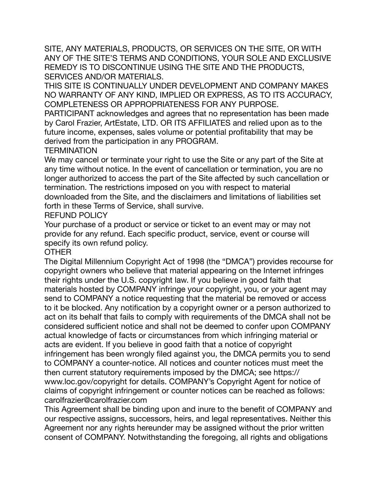SITE, ANY MATERIALS, PRODUCTS, OR SERVICES ON THE SITE, OR WITH ANY OF THE SITE'S TERMS AND CONDITIONS, YOUR SOLE AND EXCLUSIVE REMEDY IS TO DISCONTINUE USING THE SITE AND THE PRODUCTS, SERVICES AND/OR MATERIALS.

THIS SITE IS CONTINUALLY UNDER DEVELOPMENT AND COMPANY MAKES NO WARRANTY OF ANY KIND, IMPLIED OR EXPRESS, AS TO ITS ACCURACY, COMPLETENESS OR APPROPRIATENESS FOR ANY PURPOSE.

PARTICIPANT acknowledges and agrees that no representation has been made by Carol Frazier, ArtEstate, LTD. OR ITS AFFILIATES and relied upon as to the future income, expenses, sales volume or potential profitability that may be derived from the participation in any PROGRAM.

# **TERMINATION**

We may cancel or terminate your right to use the Site or any part of the Site at any time without notice. In the event of cancellation or termination, you are no longer authorized to access the part of the Site affected by such cancellation or termination. The restrictions imposed on you with respect to material downloaded from the Site, and the disclaimers and limitations of liabilities set forth in these Terms of Service, shall survive.

## REFUND POLICY

Your purchase of a product or service or ticket to an event may or may not provide for any refund. Each specific product, service, event or course will specify its own refund policy.

# **OTHER**

The Digital Millennium Copyright Act of 1998 (the "DMCA") provides recourse for copyright owners who believe that material appearing on the Internet infringes their rights under the U.S. copyright law. If you believe in good faith that materials hosted by COMPANY infringe your copyright, you, or your agent may send to COMPANY a notice requesting that the material be removed or access to it be blocked. Any notification by a copyright owner or a person authorized to act on its behalf that fails to comply with requirements of the DMCA shall not be considered sufficient notice and shall not be deemed to confer upon COMPANY actual knowledge of facts or circumstances from which infringing material or acts are evident. If you believe in good faith that a notice of copyright infringement has been wrongly filed against you, the DMCA permits you to send to COMPANY a counter-notice. All notices and counter notices must meet the then current statutory requirements imposed by the DMCA; see https:// www.loc.gov/copyright for details. COMPANY's Copyright Agent for notice of claims of copyright infringement or counter notices can be reached as follows: carolfrazier@carolfrazier.com

This Agreement shall be binding upon and inure to the benefit of COMPANY and our respective assigns, successors, heirs, and legal representatives. Neither this Agreement nor any rights hereunder may be assigned without the prior written consent of COMPANY. Notwithstanding the foregoing, all rights and obligations